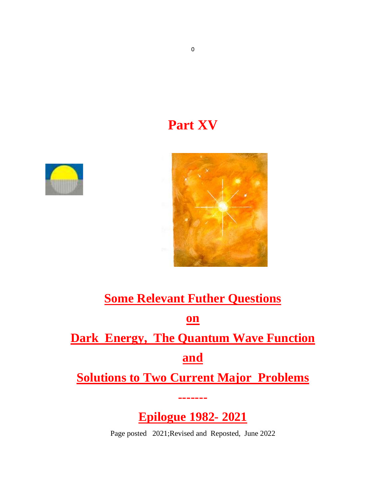# **Part XV**





# **Some Relevant Futher Questions on Dark Energy, The Quantum Wave Function and**

**Solutions to Two Current Major Problems**

**-------**

**Epilogue 1982- 2021**

Page posted 2021;Revised and Reposted, June 2022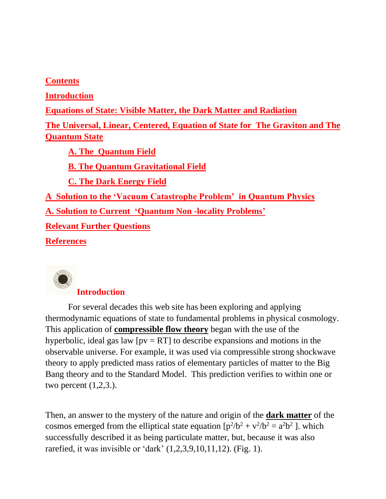**Contents Introduction Equations of State: Visible Matter, the Dark Matter and Radiation The Universal, Linear, Centered, Equation of State for The Graviton and The Quantum State A. The Quantum Field B. The Quantum Gravitational Field C. The Dark Energy Field A Solution to the 'Vacuum Catastrophe Problem' in Quantum Physics A. Solution to Current 'Quantum Non -locality Problems' Relevant Further Questions References**



#### **Introduction**

For several decades this web site has been exploring and applying thermodynamic equations of state to fundamental problems in physical cosmology. This application of **compressible flow theory** began with the use of the hyperbolic, ideal gas law  $[pv = RT]$  to describe expansions and motions in the observable universe. For example, it was used via compressible strong shockwave theory to apply predicted mass ratios of elementary particles of matter to the Big Bang theory and to the Standard Model. This prediction verifies to within one or two percent (1,2,3.).

Then, an answer to the mystery of the nature and origin of the **dark matter** of the cosmos emerged from the elliptical state equation  $[p^2/b^2 + v^2/b^2 = a^2b^2]$ . which successfully described it as being particulate matter, but, because it was also rarefied, it was invisible or 'dark' (1,2,3,9,10,11,12). (Fig. 1).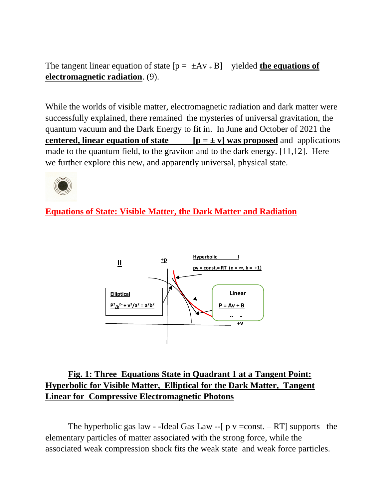The tangent linear equation of state  $[p = \pm Av + B]$  yielded **the equations of electromagnetic radiation**. (9).

While the worlds of visible matter, electromagnetic radiation and dark matter were successfully explained, there remained the mysteries of universal gravitation, the quantum vacuum and the Dark Energy to fit in. In June and October of 2021 the **centered, linear equation of state**  $[p = \pm v]$  was proposed and applications made to the quantum field, to the graviton and to the dark energy. [11,12]. Here we further explore this new, and apparently universal, physical state.



**Equations of State: Visible Matter, the Dark Matter and Radiation**



### **Fig. 1: Three Equations State in Quadrant 1 at a Tangent Point: Hyperbolic for Visible Matter, Elliptical for the Dark Matter, Tangent Linear for Compressive Electromagnetic Photons**

The hyperbolic gas law - -Ideal Gas Law --[  $p$  v =const. – RT] supports the elementary particles of matter associated with the strong force, while the associated weak compression shock fits the weak state and weak force particles.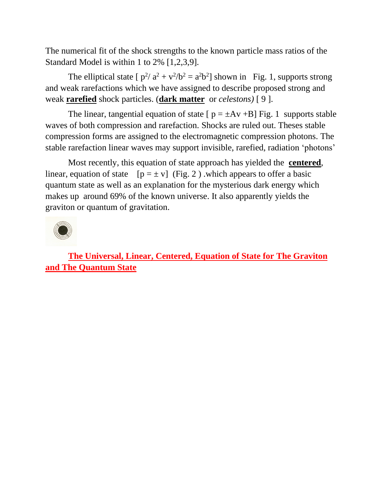The numerical fit of the shock strengths to the known particle mass ratios of the Standard Model is within 1 to 2% [1,2,3,9].

The elliptical state  $[p^2/a^2 + v^2/b^2 = a^2b^2]$  shown in Fig. 1, supports strong and weak rarefactions which we have assigned to describe proposed strong and weak **rarefied** shock particles. (**dark matter** or *celestons)* [ 9 ].

The linear, tangential equation of state  $[p = \pm Av + B]$  Fig. 1 supports stable waves of both compression and rarefaction. Shocks are ruled out. Theses stable compression forms are assigned to the electromagnetic compression photons. The stable rarefaction linear waves may support invisible, rarefied, radiation 'photons'

Most recently, this equation of state approach has yielded the **centered**, linear, equation of state  $[p = \pm v]$  (Fig. 2) which appears to offer a basic quantum state as well as an explanation for the mysterious dark energy which makes up around 69% of the known universe. It also apparently yields the graviton or quantum of gravitation.



**The Universal, Linear, Centered, Equation of State for The Graviton and The Quantum State**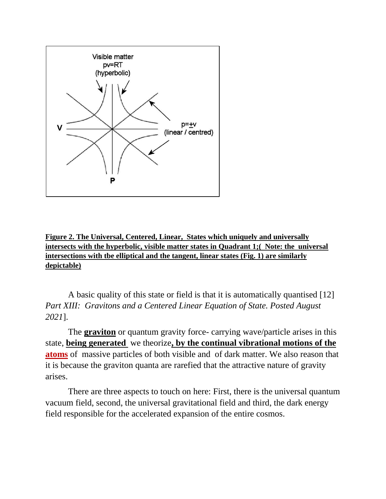

**Figure 2. The Universal, Centered, Linear, States which uniquely and universally intersects with the hyperbolic, visible matter states in Quadrant 1;( Note: the universal intersections with tbe elliptical and the tangent, linear states (Fig. 1) are similarly depictable)**

A basic quality of this state or field is that it is automatically quantised [12] *Part XIII: Gravitons and a Centered Linear Equation of State. Posted August 2021*].

The **graviton** or quantum gravity force- carrying wave/particle arises in this state, **being generated** we theorize**, by the continual vibrational motions of the atoms** of massive particles of both visible and of dark matter. We also reason that it is because the graviton quanta are rarefied that the attractive nature of gravity arises.

There are three aspects to touch on here: First, there is the universal quantum vacuum field, second, the universal gravitational field and third, the dark energy field responsible for the accelerated expansion of the entire cosmos.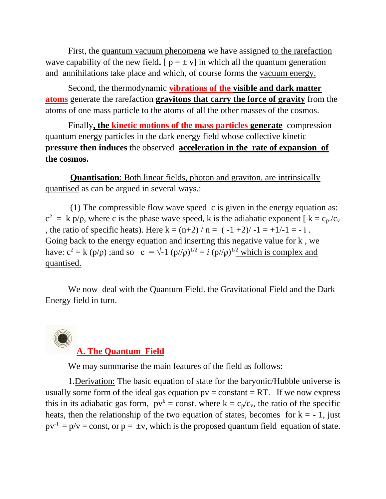First, the quantum vacuum phenomena we have assigned to the rarefaction wave capability of the new field.  $[p = \pm v]$  in which all the quantum generation and annihilations take place and which, of course forms the vacuum energy.

Second, the thermodynamic **vibrations of the visible and dark matter atoms** generate the rarefaction **gravitons that carry the force of gravity** from the atoms of one mass particle to the atoms of all the other masses of the cosmos.

Finally**, the kinetic motions of the mass particles generate** compression quantum energy particles in the dark energy field whose collective kinetic **pressure then induces** the observed **acceleration in the rate of expansion of the cosmos.**

**Quantisation**: Both linear fields, photon and graviton, are intrinsically quantised as can be argued in several ways.:

(1) The compressible flow wave speed c is given in the energy equation as:  $c^2 = k p/\rho$ , where c is the phase wave speed, k is the adiabatic exponent [ $k = c_p/c_v$ , the ratio of specific heats). Here  $k = (n+2)/n = (-1+2)/-1 = +1/-1 = -i$ . Going back to the energy equation and inserting this negative value for k , we have:  $c^2 = k (p/\rho)$ ; and so  $c = \sqrt{-1} (p/\rho)^{1/2} = i (p/\rho)^{1/2}$  which is complex and quantised.

We now deal with the Quantum Field. the Gravitational Field and the Dark Energy field in turn.

**A. The Quantum Field**

We may summarise the main features of the field as follows:

1.Derivation: The basic equation of state for the baryonic/Hubble universe is usually some form of the ideal gas equation  $pv = constant = RT$ . If we now express this in its adiabatic gas form,  $pv^k = \text{const.}$  where  $k = c_p/c_v$ , the ratio of the specific heats, then the relationship of the two equation of states, becomes for  $k = -1$ , just  $pv^{-1} = p/v = \text{const},$  or  $p = \pm v$ , which is the proposed quantum field equation of state.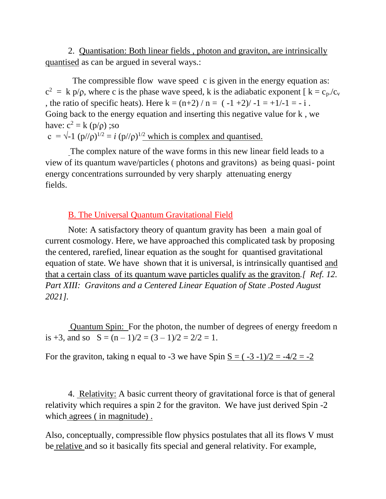2. Quantisation: Both linear fields , photon and graviton, are intrinsically quantised as can be argued in several ways.:

The compressible flow wave speed c is given in the energy equation as:  $c^2 = k p/\rho$ , where c is the phase wave speed, k is the adiabatic exponent [ $k = c_p/c_v$ , the ratio of specific heats). Here  $k = (n+2)/n = (-1+2)/-1 = +1/-1 = -i$ . Going back to the energy equation and inserting this negative value for k , we have:  $c^2 = k(p/\rho)$ ;so  $c = \sqrt{-1} (p/\rho)^{1/2} = i (p/\rho)^{1/2}$  which is complex and quantised.

The complex nature of the wave forms in this new linear field leads to a view of its quantum wave/particles ( photons and gravitons) as being quasi- point energy concentrations surrounded by very sharply attenuating energy fields.

#### B. The Universal Quantum Gravitational Field

Note: A satisfactory theory of quantum gravity has been a main goal of current cosmology. Here, we have approached this complicated task by proposing the centered, rarefied, linear equation as the sought for quantised gravitational equation of state. We have shown that it is universal, is intrinsically quantised and that a certain class of its quantum wave particles qualify as the graviton*.[ Ref. 12. Part XIII: Gravitons and a Centered Linear Equation of State .Posted August 2021].*

Quantum Spin: For the photon, the number of degrees of energy freedom n is +3, and so  $S = (n-1)/2 = (3-1)/2 = 2/2 = 1$ .

For the graviton, taking n equal to -3 we have Spin  $S = (-3 -1)/2 = -4/2 = -2$ 

4. Relativity: A basic current theory of gravitational force is that of general relativity which requires a spin 2 for the graviton. We have just derived Spin -2 which agrees (in magnitude).

Also, conceptually, compressible flow physics postulates that all its flows V must be relative and so it basically fits special and general relativity. For example,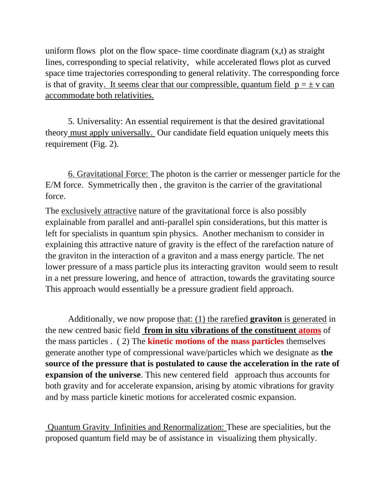uniform flows plot on the flow space- time coordinate diagram  $(x,t)$  as straight lines, corresponding to special relativity, while accelerated flows plot as curved space time trajectories corresponding to general relativity. The corresponding force is that of gravity. It seems clear that our compressible, quantum field  $p = \pm v$  can accommodate both relativities.

5. Universality: An essential requirement is that the desired gravitational theory must apply universally. Our candidate field equation uniquely meets this requirement (Fig. 2).

6. Gravitational Force: The photon is the carrier or messenger particle for the E/M force. Symmetrically then , the graviton is the carrier of the gravitational force.

The exclusively attractive nature of the gravitational force is also possibly explainable from parallel and anti-parallel spin considerations, but this matter is left for specialists in quantum spin physics. Another mechanism to consider in explaining this attractive nature of gravity is the effect of the rarefaction nature of the graviton in the interaction of a graviton and a mass energy particle. The net lower pressure of a mass particle plus its interacting graviton would seem to result in a net pressure lowering, and hence of attraction, towards the gravitating source This approach would essentially be a pressure gradient field approach.

Additionally, we now propose that: (1) the rarefied **graviton** is generated in the new centred basic field **from in situ vibrations of the constituent atoms** of the mass particles . ( 2) The **kinetic motions of the mass particles** themselves generate another type of compressional wave/particles which we designate as **the source of the pressure that is postulated to cause the acceleration in the rate of expansion of the universe**. This new centered field approach thus accounts for both gravity and for accelerate expansion, arising by atomic vibrations for gravity and by mass particle kinetic motions for accelerated cosmic expansion.

Quantum Gravity Infinities and Renormalization: These are specialities, but the proposed quantum field may be of assistance in visualizing them physically.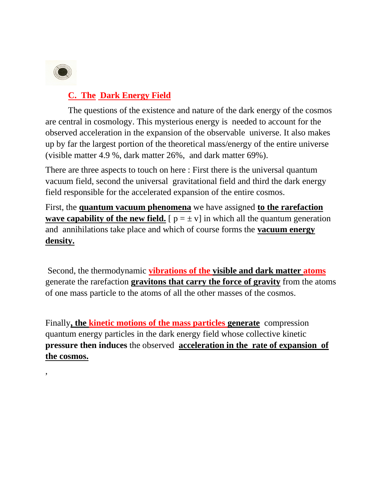

,

### **C. The Dark Energy Field**

The questions of the existence and nature of the dark energy of the cosmos are central in cosmology. This mysterious energy is needed to account for the observed acceleration in the expansion of the observable universe. It also makes up by far the largest portion of the theoretical mass/energy of the entire universe (visible matter 4.9 %, dark matter 26%, and dark matter 69%).

There are three aspects to touch on here : First there is the universal quantum vacuum field, second the universal gravitational field and third the dark energy field responsible for the accelerated expansion of the entire cosmos.

First, the **quantum vacuum phenomena** we have assigned **to the rarefaction wave capability of the new field.** [ $p = \pm v$ ] in which all the quantum generation and annihilations take place and which of course forms the **vacuum energy density.**

Second, the thermodynamic **vibrations of the visible and dark matter atoms** generate the rarefaction **gravitons that carry the force of gravity** from the atoms of one mass particle to the atoms of all the other masses of the cosmos.

Finally**, the kinetic motions of the mass particles generate** compression quantum energy particles in the dark energy field whose collective kinetic **pressure then induces** the observed **acceleration in the rate of expansion of the cosmos.**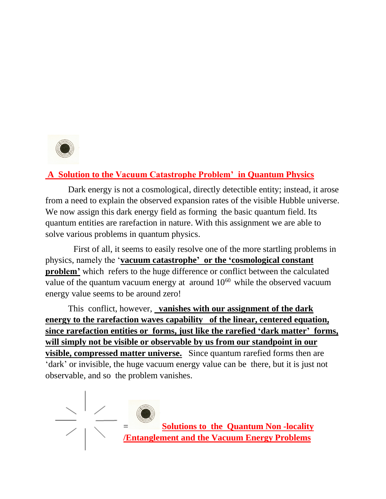

## **A Solution to the Vacuum Catastrophe Problem' in Quantum Physics**

Dark energy is not a cosmological, directly detectible entity; instead, it arose from a need to explain the observed expansion rates of the visible Hubble universe. We now assign this dark energy field as forming the basic quantum field. Its quantum entities are rarefaction in nature. With this assignment we are able to solve various problems in quantum physics.

First of all, it seems to easily resolve one of the more startling problems in physics, namely the '**vacuum catastrophe' or the 'cosmological constant problem'** which refers to the huge difference or conflict between the calculated value of the quantum vacuum energy at around  $10^{60}$  while the observed vacuum energy value seems to be around zero!

This conflict, however, **vanishes with our assignment of the dark energy to the rarefaction waves capability of the linear, centered equation, since rarefaction entities or forms, just like the rarefied 'dark matter' forms, will simply not be visible or observable by us from our standpoint in our visible, compressed matter universe.** Since quantum rarefied forms then are 'dark' or invisible, the huge vacuum energy value can be there, but it is just not observable, and so the problem vanishes.



= **Solutions to the Quantum Non -locality /Entanglement and the Vacuum Energy Problems**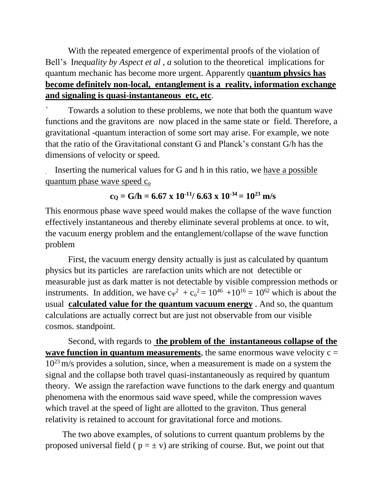With the repeated emergence of experimental proofs of the violation of Bell's I*nequality by Aspect et al , a* solution to the theoretical implications for quantum mechanic has become more urgent. Apparently q**uantum physics has become definitely non-local, entanglement is a reality, information exchange and signaling is quasi-instantaneous etc, etc**.

` Towards a solution to these problems, we note that both the quantum wave functions and the gravitons are now placed in the same state or field. Therefore, a gravitational -quantum interaction of some sort may arise. For example, we note that the ratio of the Gravitational constant G and Planck's constant G/h has the dimensions of velocity or speed.

. Inserting the numerical values for G and h in this ratio, we have a possible quantum phase wave speed  $c_0$ 

# $c$ <sup> $\Omega$ </sup> **c** $\Omega$  **c** $\Omega$  **c** $\Omega$  **c** $\Omega$  **c** $\Omega$  **c** $\Omega$  **c** $\Omega$  **c** $\Omega$  **c** $\Omega$  **c** $\Omega$  **c** $\Omega$  **c** $\Omega$  **c** $\Omega$  **c** $\Omega$  **c** $\Omega$  **c** $\Omega$  **c** $\Omega$  **c** $\Omega$  **c** $\Omega$  **c** $\Omega$  **c** $\Omega$  **c** $\Omega$  **c** $\Omega$  **c** $\Omega$  **c** $\Omega$  **c** $\Omega$  **c**

This enormous phase wave speed would makes the collapse of the wave function effectively instantaneous and thereby eliminate several problems at once. to wit, the vacuum energy problem and the entanglement/collapse of the wave function problem

First, the vacuum energy density actually is just as calculated by quantum physics but its particles are rarefaction units which are not detectible or measurable just as dark matter is not detectable by visible compression methods or instruments. In addition, we have  $c_{\Psi}^2 + c_0^2 = 10^{46} + 10^{16} = 10^{62}$  which is about the usual **calculated value for the quantum vacuum energy** . And so, the quantum calculations are actually correct but are just not observable from our visible cosmos. standpoint.

Second, with regards to **the problem of the instantaneous collapse of the wave function in quantum measurements**, the same enormous wave velocity  $c =$  $10^{23}$  m/s provides a solution, since, when a measurement is made on a system the signal and the collapse both travel quasi-instantaneously as required by quantum theory. We assign the rarefaction wave functions to the dark energy and quantum phenomena with the enormous said wave speed, while the compression waves which travel at the speed of light are allotted to the graviton. Thus general relativity is retained to account for gravitational force and motions.

**The** The two above examples, of solutions to current quantum problems by the proposed universal field ( $p = \pm v$ ) are striking of course. But, we point out that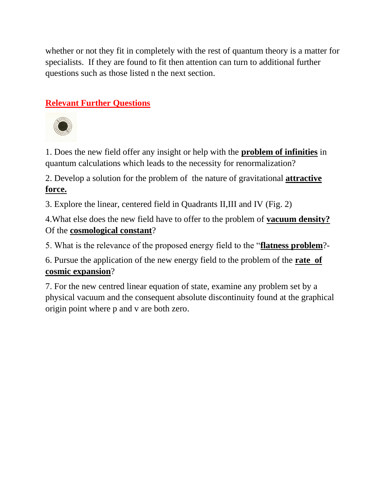whether or not they fit in completely with the rest of quantum theory is a matter for specialists. If they are found to fit then attention can turn to additional further questions such as those listed n the next section.

# **Relevant Further Questions**



1. Does the new field offer any insight or help with the **problem of infinities** in quantum calculations which leads to the necessity for renormalization?

2. Develop a solution for the problem of the nature of gravitational **attractive force.**

3. Explore the linear, centered field in Quadrants II,III and IV (Fig. 2)

4.What else does the new field have to offer to the problem of **vacuum density?** Of the **cosmological constant**?

5. What is the relevance of the proposed energy field to the "**flatness problem**?-

6. Pursue the application of the new energy field to the problem of the **rate of cosmic expansion**?

7. For the new centred linear equation of state, examine any problem set by a physical vacuum and the consequent absolute discontinuity found at the graphical origin point where p and v are both zero.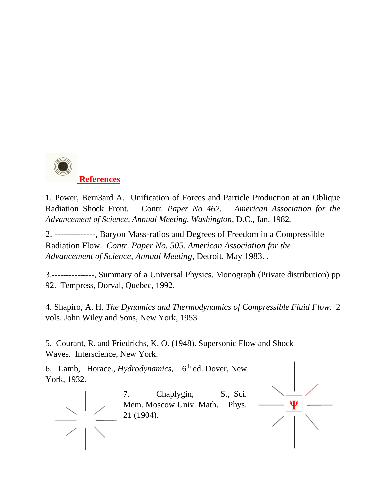

1. Power, Bern3ard A.Unification of Forces and Particle Production at an Oblique Radiation Shock Front. Contr*. Paper No 462. American Association for the Advancement of Science, Annual Meeting, Washington*, D.C., Jan. 1982.

2. --------------, Baryon Mass-ratios and Degrees of Freedom in a Compressible Radiation Flow. *Contr. Paper No. 505. American Association for the Advancement of Science, Annual Meeting,* Detroit, May 1983. .

3.---------------, Summary of a Universal Physics. Monograph (Private distribution) pp 92. Tempress, Dorval, Quebec, 1992.

4. Shapiro, A. H. *The Dynamics and Thermodynamics of Compressible Fluid Flow.* 2 vols. John Wiley and Sons, New York, 1953

5. Courant, R. and Friedrichs, K. O. (1948). Supersonic Flow and Shock Waves. Interscience, New York.

6. Lamb, Horace., *Hydrodynamics,* 6 th ed. Dover, New York, 1932. 7. Chaplygin, S., Sci.  $\frac{\Delta}{\Delta} \frac{1}{\Delta} \frac{1}{\Delta}$ Mem. Moscow Univ. Math. Phys. 21 (1904).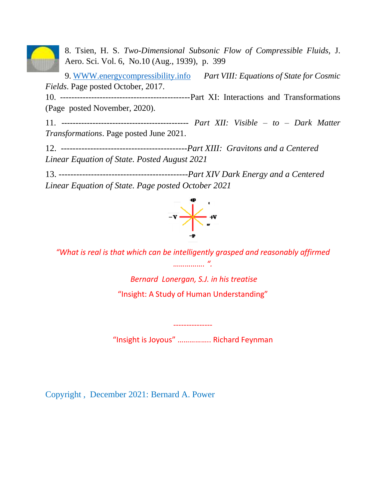

8. Tsien, H. S. *Two-Dimensional Subsonic Flow of Compressible Fluids,* J. Aero. Sci. Vol. 6, No.10 (Aug., 1939), p. 399

9. [WWW.energycompressibility.info](http://www.energycompressibility.info/) *Part VIII: Equations of State for Cosmic Fields*. Page posted October, 2017.

10. ----------------------------------------------Part XI: Interactions and Transformations (Page posted November, 2020).

11. --------------------------------------------- *Part XII: Visible – to – Dark Matter Transformations*. Page posted June 2021.

12. -------------------------------------------*Part XIII: Gravitons and a Centered Linear Equation of State. Posted August 2021*

13. *--------------------------------------------Part XIV Dark Energy and a Centered Linear Equation of State. Page posted October 2021*



*"What is real is that which can be intelligently grasped and reasonably affirmed ……………. ".*

> *Bernard Lonergan, S.J. in his treatise*  "Insight: A Study of Human Understanding"

"Insight is Joyous" …………….. Richard Feynman

---------------

Copyright , December 2021: Bernard A. Power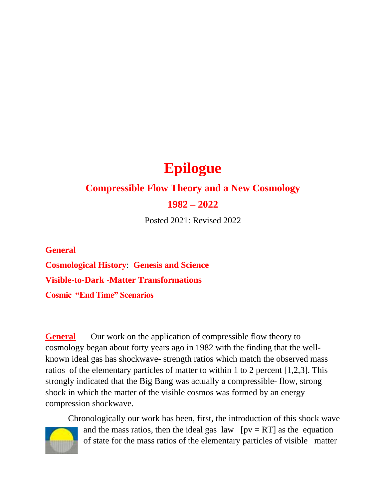# **Epilogue**

# **Compressible Flow Theory and a New Cosmology**

#### **1982 – 2022**

Posted 2021: Revised 2022

**General Cosmological History**: **Genesis and Science Visible-to-Dark -Matter Transformations Cosmic "End Time" Scenarios**

**General** Our work on the application of compressible flow theory to cosmology began about forty years ago in 1982 with the finding that the wellknown ideal gas has shockwave- strength ratios which match the observed mass ratios of the elementary particles of matter to within 1 to 2 percent [1,2,3]. This strongly indicated that the Big Bang was actually a compressible- flow, strong shock in which the matter of the visible cosmos was formed by an energy compression shockwave.

Chronologically our work has been, first, the introduction of this shock wave and the mass ratios, then the ideal gas law  $[pv = RT]$  as the equation of state for the mass ratios of the elementary particles of visible matter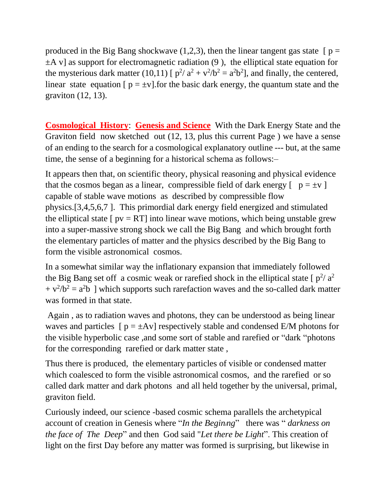produced in the Big Bang shockwave  $(1,2,3)$ , then the linear tangent gas state [ $p =$  $\pm A$  v] as support for electromagnetic radiation (9), the elliptical state equation for the mysterious dark matter (10,11) [ $p^2/a^2 + v^2/b^2 = a^2b^2$ ], and finally, the centered, linear state equation  $[p = \pm v]$ . for the basic dark energy, the quantum state and the graviton (12, 13).

**Cosmological History**: **Genesis and Science** With the Dark Energy State and the Graviton field now sketched out (12, 13, plus this current Page ) we have a sense of an ending to the search for a cosmological explanatory outline --- but, at the same time, the sense of a beginning for a historical schema as follows:–

It appears then that, on scientific theory, physical reasoning and physical evidence that the cosmos began as a linear, compressible field of dark energy  $[p = \pm v]$ capable of stable wave motions as described by compressible flow physics.[3,4,5,6,7 ]. This primordial dark energy field energized and stimulated the elliptical state  $\lceil pv = RT \rceil$  into linear wave motions, which being unstable grew into a super-massive strong shock we call the Big Bang and which brought forth the elementary particles of matter and the physics described by the Big Bang to form the visible astronomical cosmos.

In a somewhat similar way the inflationary expansion that immediately followed the Big Bang set off a cosmic weak or rarefied shock in the elliptical state [ $p^2/a^2$  $+ v^2/b^2 = a^2b$  ] which supports such rarefaction waves and the so-called dark matter was formed in that state.

Again , as to radiation waves and photons, they can be understood as being linear waves and particles  $[p = \pm Av]$  respectively stable and condensed E/M photons for the visible hyperbolic case ,and some sort of stable and rarefied or "dark "photons for the corresponding rarefied or dark matter state ,

Thus there is produced, the elementary particles of visible or condensed matter which coalesced to form the visible astronomical cosmos, and the rarefied or so called dark matter and dark photons and all held together by the universal, primal, graviton field.

Curiously indeed, our science -based cosmic schema parallels the archetypical account of creation in Genesis where "*In the Begining*" there was " *darkness on the face of The Deep*" and then God said "*Let there be Light*". This creation of light on the first Day before any matter was formed is surprising, but likewise in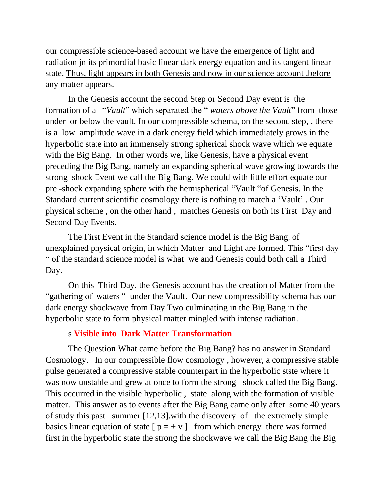our compressible science-based account we have the emergence of light and radiation jn its primordial basic linear dark energy equation and its tangent linear state. Thus, light appears in both Genesis and now in our science account .before any matter appears.

In the Genesis account the second Step or Second Day event is the formation of a "*Vault*" which separated the " *waters above the Vault*" from those under or below the vault. In our compressible schema, on the second step, , there is a low amplitude wave in a dark energy field which immediately grows in the hyperbolic state into an immensely strong spherical shock wave which we equate with the Big Bang. In other words we, like Genesis, have a physical event preceding the Big Bang, namely an expanding spherical wave growing towards the strong shock Event we call the Big Bang. We could with little effort equate our pre -shock expanding sphere with the hemispherical "Vault "of Genesis. In the Standard current scientific cosmology there is nothing to match a 'Vault' . Our physical scheme , on the other hand , matches Genesis on both its First Day and Second Day Events.

The First Event in the Standard science model is the Big Bang, of unexplained physical origin, in which Matter and Light are formed. This "first day " of the standard science model is what we and Genesis could both call a Third Day.

On this Third Day, the Genesis account has the creation of Matter from the "gathering of waters " under the Vault. Our new compressibility schema has our dark energy shockwave from Day Two culminating in the Big Bang in the hyperbolic state to form physical matter mingled with intense radiation.

#### s **Visible into Dark Matter Transformation**

The Question What came before the Big Bang? has no answer in Standard Cosmology. In our compressible flow cosmology , however, a compressive stable pulse generated a compressive stable counterpart in the hyperbolic stste where it was now unstable and grew at once to form the strong shock called the Big Bang. This occurred in the visible hyperbolic , state along with the formation of visible matter. This answer as to events after the Big Bang came only after some 40 years of study this past summer [12,13].with the discovery of the extremely simple basics linear equation of state  $[p = \pm v]$  from which energy there was formed first in the hyperbolic state the strong the shockwave we call the Big Bang the Big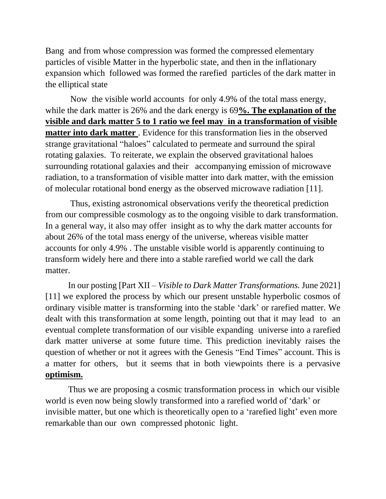Bang and from whose compression was formed the compressed elementary particles of visible Matter in the hyperbolic state, and then in the inflationary expansion which followed was formed the rarefied particles of the dark matter in the elliptical state

Now the visible world accounts for only 4.9% of the total mass energy, while the dark matter is 26% and the dark energy is 69**%. The explanation of the visible and dark matter 5 to 1 ratio we feel may in a transformation of visible matter into dark matter** . Evidence for this transformation lies in the observed strange gravitational "haloes" calculated to permeate and surround the spiral rotating galaxies. To reiterate, we explain the observed gravitational haloes surrounding rotational galaxies and their accompanying emission of microwave radiation, to a transformation of visible matter into dark matter, with the emission of molecular rotational bond energy as the observed microwave radiation [11].

Thus, existing astronomical observations verify the theoretical prediction from our compressible cosmology as to the ongoing visible to dark transformation. In a general way, it also may offer insight as to why the dark matter accounts for about 26% of the total mass energy of the universe, whereas visible matter accounts for only 4.9% . The unstable visible world is apparently continuing to transform widely here and there into a stable rarefied world we call the dark matter.

In our posting [Part XII – *Visible to Dark Matter Transformations.* June 2021] [11] we explored the process by which our present unstable hyperbolic cosmos of ordinary visible matter is transforming into the stable 'dark' or rarefied matter. We dealt with this transformation at some length, pointing out that it may lead to an eventual complete transformation of our visible expanding universe into a rarefied dark matter universe at some future time. This prediction inevitably raises the question of whether or not it agrees with the Genesis "End Times" account. This is a matter for others, but it seems that in both viewpoints there is a pervasive **optimism.**

Thus we are proposing a cosmic transformation process in which our visible world is even now being slowly transformed into a rarefied world of 'dark' or invisible matter, but one which is theoretically open to a 'rarefied light' even more remarkable than our own compressed photonic light.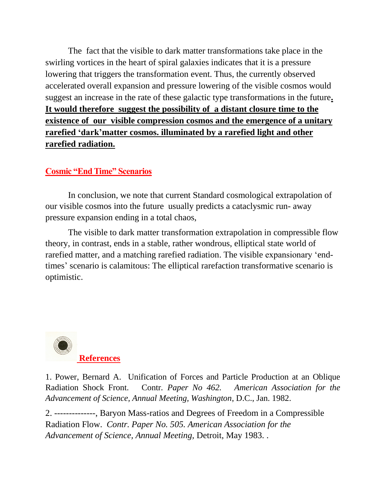The fact that the visible to dark matter transformations take place in the swirling vortices in the heart of spiral galaxies indicates that it is a pressure lowering that triggers the transformation event. Thus, the currently observed accelerated overall expansion and pressure lowering of the visible cosmos would suggest an increase in the rate of these galactic type transformations in the future**. It would therefore suggest the possibility of a distant closure time to the existence of our visible compression cosmos and the emergence of a unitary rarefied 'dark'matter cosmos. illuminated by a rarefied light and other rarefied radiation.** 

#### **Cosmic "End Time" Scenarios**

In conclusion, we note that current Standard cosmological extrapolation of our visible cosmos into the future usually predicts a cataclysmic run- away pressure expansion ending in a total chaos,

The visible to dark matter transformation extrapolation in compressible flow theory, in contrast, ends in a stable, rather wondrous, elliptical state world of rarefied matter, and a matching rarefied radiation. The visible expansionary 'endtimes' scenario is calamitous: The elliptical rarefaction transformative scenario is optimistic.



1. Power, Bernard A.Unification of Forces and Particle Production at an Oblique Radiation Shock Front. Contr*. Paper No 462. American Association for the Advancement of Science, Annual Meeting, Washington*, D.C., Jan. 1982.

2. --------------, Baryon Mass-ratios and Degrees of Freedom in a Compressible Radiation Flow. *Contr. Paper No. 505. American Association for the Advancement of Science, Annual Meeting,* Detroit, May 1983. .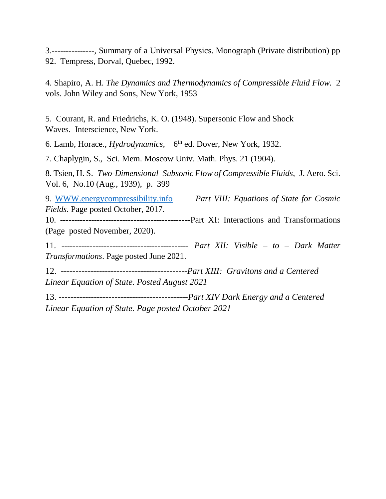3.---------------, Summary of a Universal Physics. Monograph (Private distribution) pp 92. Tempress, Dorval, Quebec, 1992.

4. Shapiro, A. H. *The Dynamics and Thermodynamics of Compressible Fluid Flow.* 2 vols. John Wiley and Sons, New York, 1953

5. Courant, R. and Friedrichs, K. O. (1948). Supersonic Flow and Shock Waves. Interscience, New York.

6. Lamb, Horace., *Hydrodynamics*, 6<sup>th</sup> ed. Dover, New York, 1932.

7. Chaplygin, S., Sci. Mem. Moscow Univ. Math. Phys. 21 (1904).

8. Tsien, H. S. *Two-Dimensional Subsonic Flow of Compressible Fluids,* J. Aero. Sci. Vol. 6, No.10 (Aug., 1939), p. 399

9. [WWW.energycompressibility.info](http://www.energycompressibility.info/) *Part VIII: Equations of State for Cosmic Fields*. Page posted October, 2017. 10. ----------------------------------------------Part XI: Interactions and Transformations (Page posted November, 2020). 11. --------------------------------------------- *Part XII: Visible – to – Dark Matter Transformations*. Page posted June 2021. 12. -------------------------------------------*Part XIII: Gravitons and a Centered Linear Equation of State. Posted August 2021* 13. *--------------------------------------------Part XIV Dark Energy and a Centered* 

*Linear Equation of State. Page posted October 2021*